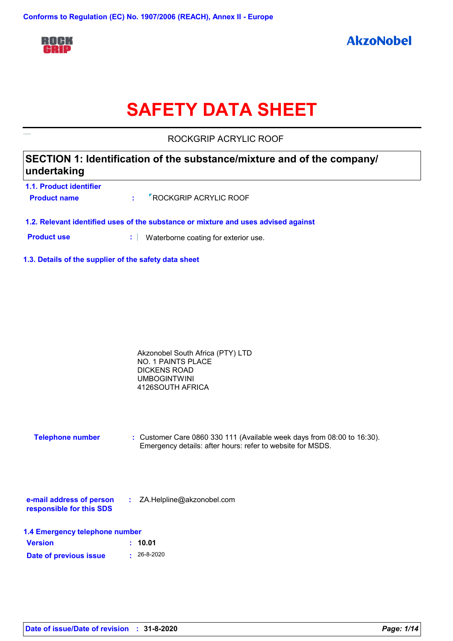

# **SAFETY DATA SHEET**

ROCKGRIP ACRYLIC ROOF

## **SECTION 1: Identification of the substance/mixture and of the company/ undertaking**

- **1.1. Product identifier Product name :** ROCKGRIP ACRYLIC ROOF
- **1.2. Relevant identified uses of the substance or mixture and uses advised against**
- **Product use <b>:** Waterborne coating for exterior use.
- **1.3. Details of the supplier of the safety data sheet**

| Akzonobel South Africa (PTY) LTD |  |
|----------------------------------|--|
| NO. 1 PAINTS PLACE               |  |
| DICKENS ROAD                     |  |
| <b>UMBOGINTWINI</b>              |  |
| 4126SOUTH AFRICA                 |  |

**Telephone number :** Customer Care 0860 330 111 (Available week days from 08:00 to 16:30). Emergency details: after hours: refer to website for MSDS.

| e-mail address of person | ZA.Helpline@akzonobel.com |  |
|--------------------------|---------------------------|--|
| responsible for this SDS |                           |  |

| 1.4 Emergency telephone number |                   |  |  |  |  |
|--------------------------------|-------------------|--|--|--|--|
| <b>Version</b>                 | : 10.01           |  |  |  |  |
| Date of previous issue         | $\cdot$ 26-8-2020 |  |  |  |  |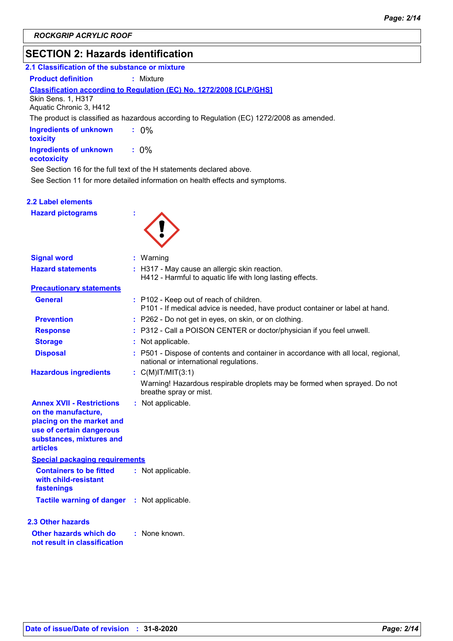# **SECTION 2: Hazards identification**

| 2.1 Classification of the substance or mixture                                                                                                                  |                                                                                                                              |  |  |  |  |  |
|-----------------------------------------------------------------------------------------------------------------------------------------------------------------|------------------------------------------------------------------------------------------------------------------------------|--|--|--|--|--|
| <b>Product definition</b><br>: Mixture                                                                                                                          |                                                                                                                              |  |  |  |  |  |
| Skin Sens. 1, H317<br>Aquatic Chronic 3, H412                                                                                                                   | Classification according to Regulation (EC) No. 1272/2008 [CLP/GHS]                                                          |  |  |  |  |  |
|                                                                                                                                                                 | The product is classified as hazardous according to Regulation (EC) 1272/2008 as amended.                                    |  |  |  |  |  |
| <b>Ingredients of unknown</b><br>toxicity                                                                                                                       | $: 0\%$                                                                                                                      |  |  |  |  |  |
| <b>Ingredients of unknown</b><br>ecotoxicity                                                                                                                    | $: 0\%$                                                                                                                      |  |  |  |  |  |
|                                                                                                                                                                 | See Section 16 for the full text of the H statements declared above.                                                         |  |  |  |  |  |
|                                                                                                                                                                 | See Section 11 for more detailed information on health effects and symptoms.                                                 |  |  |  |  |  |
| 2.2 Label elements                                                                                                                                              |                                                                                                                              |  |  |  |  |  |
| <b>Hazard pictograms</b>                                                                                                                                        |                                                                                                                              |  |  |  |  |  |
| <b>Signal word</b>                                                                                                                                              | : Warning                                                                                                                    |  |  |  |  |  |
| <b>Hazard statements</b>                                                                                                                                        | : H317 - May cause an allergic skin reaction.<br>H412 - Harmful to aquatic life with long lasting effects.                   |  |  |  |  |  |
| <b>Precautionary statements</b>                                                                                                                                 |                                                                                                                              |  |  |  |  |  |
| <b>General</b>                                                                                                                                                  | : P102 - Keep out of reach of children.<br>P101 - If medical advice is needed, have product container or label at hand.      |  |  |  |  |  |
| <b>Prevention</b>                                                                                                                                               | : P262 - Do not get in eyes, on skin, or on clothing.                                                                        |  |  |  |  |  |
| <b>Response</b>                                                                                                                                                 | : P312 - Call a POISON CENTER or doctor/physician if you feel unwell.                                                        |  |  |  |  |  |
| <b>Storage</b>                                                                                                                                                  | : Not applicable.                                                                                                            |  |  |  |  |  |
| <b>Disposal</b>                                                                                                                                                 | : P501 - Dispose of contents and container in accordance with all local, regional,<br>national or international regulations. |  |  |  |  |  |
| <b>Hazardous ingredients</b>                                                                                                                                    | : $C(M)$ IT/MIT(3:1)                                                                                                         |  |  |  |  |  |
|                                                                                                                                                                 | Warning! Hazardous respirable droplets may be formed when sprayed. Do not<br>breathe spray or mist.                          |  |  |  |  |  |
| <b>Annex XVII - Restrictions</b><br>on the manufacture,<br>placing on the market and<br>use of certain dangerous<br>substances, mixtures and<br><b>articles</b> | : Not applicable.                                                                                                            |  |  |  |  |  |
| <b>Special packaging requirements</b>                                                                                                                           |                                                                                                                              |  |  |  |  |  |
| <b>Containers to be fitted</b><br>with child-resistant<br>fastenings                                                                                            | : Not applicable.                                                                                                            |  |  |  |  |  |
| <b>Tactile warning of danger</b>                                                                                                                                | : Not applicable.                                                                                                            |  |  |  |  |  |
| 2.3 Other hazards                                                                                                                                               |                                                                                                                              |  |  |  |  |  |
| Other hazards which do<br>not result in classification                                                                                                          | : None known.                                                                                                                |  |  |  |  |  |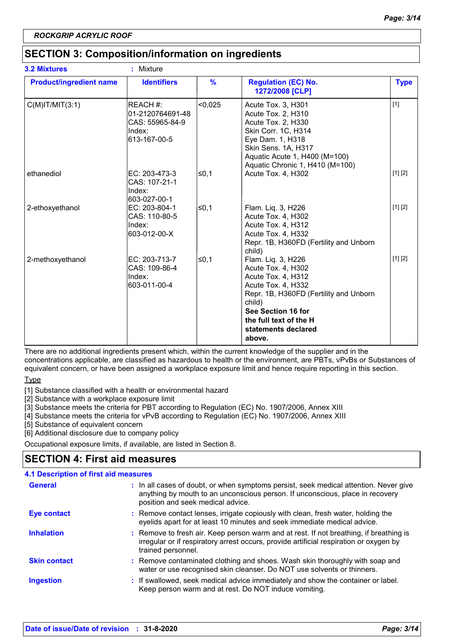## **SECTION 3: Composition/information on ingredients**

| <b>3.2 Mixtures</b>            | Mixture<br>t.                                                             |         |                                                                                                                                                                                                                           |             |
|--------------------------------|---------------------------------------------------------------------------|---------|---------------------------------------------------------------------------------------------------------------------------------------------------------------------------------------------------------------------------|-------------|
| <b>Product/ingredient name</b> | <b>Identifiers</b>                                                        | $\%$    | <b>Regulation (EC) No.</b><br>1272/2008 [CLP]                                                                                                                                                                             | <b>Type</b> |
| $C(M)$ IT/MIT $(3:1)$          | REACH #:<br>01-2120764691-48<br>CAS: 55965-84-9<br>Index:<br>613-167-00-5 | < 0.025 | Acute Tox. 3, H301<br>Acute Tox. 2, H310<br>Acute Tox. 2, H330<br>Skin Corr. 1C, H314<br>Eye Dam. 1, H318<br>Skin Sens. 1A, H317<br>Aquatic Acute 1, H400 (M=100)<br>Aquatic Chronic 1, H410 (M=100)                      | $[1]$       |
| ethanediol                     | EC: 203-473-3<br>CAS: 107-21-1<br>Index:<br>603-027-00-1                  | l≤0.1   | Acute Tox. 4, H302                                                                                                                                                                                                        | [1] [2]     |
| 2-ethoxyethanol                | EC: 203-804-1<br>CAS: 110-80-5<br>Index:<br>603-012-00-X                  | ∣≤0,1   | Flam. Liq. 3, H226<br>Acute Tox. 4, H302<br>Acute Tox. 4, H312<br>Acute Tox. 4, H332<br>Repr. 1B, H360FD (Fertility and Unborn<br>child)                                                                                  | [1] [2]     |
| 2-methoxyethanol               | EC: 203-713-7<br>CAS: 109-86-4<br>Index:<br>603-011-00-4                  | l≤0,1   | Flam. Liq. 3, H226<br>Acute Tox. 4, H302<br>Acute Tox. 4, H312<br>Acute Tox. 4, H332<br>Repr. 1B, H360FD (Fertility and Unborn<br>child)<br>See Section 16 for<br>the full text of the H<br>statements declared<br>above. | [1] [2]     |

There are no additional ingredients present which, within the current knowledge of the supplier and in the concentrations applicable, are classified as hazardous to health or the environment, are PBTs, vPvBs or Substances of equivalent concern, or have been assigned a workplace exposure limit and hence require reporting in this section.

Type

[1] Substance classified with a health or environmental hazard

[2] Substance with a workplace exposure limit

[3] Substance meets the criteria for PBT according to Regulation (EC) No. 1907/2006, Annex XIII

[4] Substance meets the criteria for vPvB according to Regulation (EC) No. 1907/2006, Annex XIII

[5] Substance of equivalent concern

[6] Additional disclosure due to company policy

Occupational exposure limits, if available, are listed in Section 8.

## **SECTION 4: First aid measures**

| <b>4.1 Description of first aid measures</b> |                                                                                                                                                                                                             |
|----------------------------------------------|-------------------------------------------------------------------------------------------------------------------------------------------------------------------------------------------------------------|
| <b>General</b>                               | : In all cases of doubt, or when symptoms persist, seek medical attention. Never give<br>anything by mouth to an unconscious person. If unconscious, place in recovery<br>position and seek medical advice. |
| <b>Eye contact</b>                           | : Remove contact lenses, irrigate copiously with clean, fresh water, holding the<br>eyelids apart for at least 10 minutes and seek immediate medical advice.                                                |
| <b>Inhalation</b>                            | : Remove to fresh air. Keep person warm and at rest. If not breathing, if breathing is<br>irregular or if respiratory arrest occurs, provide artificial respiration or oxygen by<br>trained personnel.      |
| <b>Skin contact</b>                          | : Remove contaminated clothing and shoes. Wash skin thoroughly with soap and<br>water or use recognised skin cleanser. Do NOT use solvents or thinners.                                                     |
| <b>Ingestion</b>                             | : If swallowed, seek medical advice immediately and show the container or label.<br>Keep person warm and at rest. Do NOT induce vomiting.                                                                   |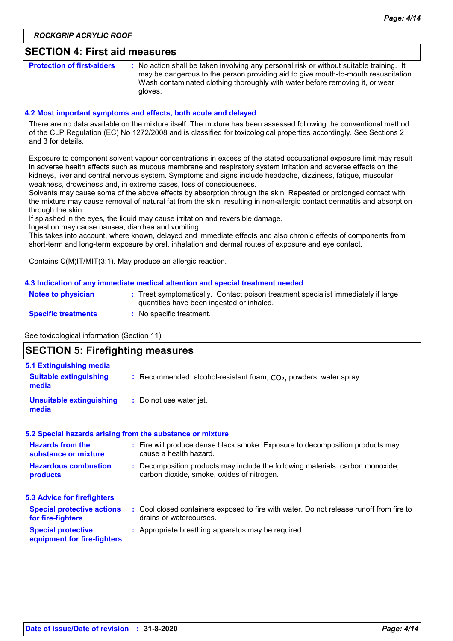#### **SECTION 4: First aid measures**

**Protection of first-aiders** : No action shall be taken involving any personal risk or without suitable training. It may be dangerous to the person providing aid to give mouth-to-mouth resuscitation. Wash contaminated clothing thoroughly with water before removing it, or wear gloves.

#### **4.2 Most important symptoms and effects, both acute and delayed**

There are no data available on the mixture itself. The mixture has been assessed following the conventional method of the CLP Regulation (EC) No 1272/2008 and is classified for toxicological properties accordingly. See Sections 2 and 3 for details.

Exposure to component solvent vapour concentrations in excess of the stated occupational exposure limit may result in adverse health effects such as mucous membrane and respiratory system irritation and adverse effects on the kidneys, liver and central nervous system. Symptoms and signs include headache, dizziness, fatigue, muscular weakness, drowsiness and, in extreme cases, loss of consciousness.

Solvents may cause some of the above effects by absorption through the skin. Repeated or prolonged contact with the mixture may cause removal of natural fat from the skin, resulting in non-allergic contact dermatitis and absorption through the skin.

If splashed in the eyes, the liquid may cause irritation and reversible damage.

Ingestion may cause nausea, diarrhea and vomiting.

This takes into account, where known, delayed and immediate effects and also chronic effects of components from short-term and long-term exposure by oral, inhalation and dermal routes of exposure and eye contact.

Contains C(M)IT/MIT(3:1). May produce an allergic reaction.

#### **4.3 Indication of any immediate medical attention and special treatment needed**

| <b>Notes to physician</b>  | Treat symptomatically. Contact poison treatment specialist immediately if large<br>quantities have been ingested or inhaled. |  |
|----------------------------|------------------------------------------------------------------------------------------------------------------------------|--|
| <b>Specific treatments</b> | No specific treatment.                                                                                                       |  |

See toxicological information (Section 11)

## **SECTION 5: Firefighting measures**

| 5.1 Extinguishing media                                  |                                                                                                                              |
|----------------------------------------------------------|------------------------------------------------------------------------------------------------------------------------------|
| <b>Suitable extinguishing</b><br>media                   | : Recommended: alcohol-resistant foam, $CO2$ , powders, water spray.                                                         |
| Unsuitable extinguishing<br>media                        | : Do not use water jet.                                                                                                      |
|                                                          | 5.2 Special hazards arising from the substance or mixture                                                                    |
| <b>Hazards from the</b><br>substance or mixture          | : Fire will produce dense black smoke. Exposure to decomposition products may<br>cause a health hazard.                      |
| <b>Hazardous combustion</b><br>products                  | : Decomposition products may include the following materials: carbon monoxide,<br>carbon dioxide, smoke, oxides of nitrogen. |
| <b>5.3 Advice for firefighters</b>                       |                                                                                                                              |
| <b>Special protective actions</b><br>for fire-fighters   | : Cool closed containers exposed to fire with water. Do not release runoff from fire to<br>drains or watercourses.           |
| <b>Special protective</b><br>equipment for fire-fighters | : Appropriate breathing apparatus may be required.                                                                           |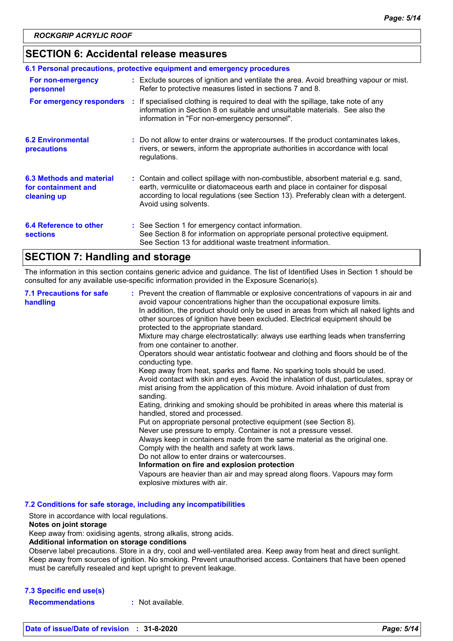### **SECTION 6: Accidental release measures**

| 6.1 Personal precautions, protective equipment and emergency procedures |  |                                                                                                                                                                                                                                                                                    |  |  |
|-------------------------------------------------------------------------|--|------------------------------------------------------------------------------------------------------------------------------------------------------------------------------------------------------------------------------------------------------------------------------------|--|--|
| For non-emergency<br>personnel                                          |  | : Exclude sources of ignition and ventilate the area. Avoid breathing vapour or mist.<br>Refer to protective measures listed in sections 7 and 8.                                                                                                                                  |  |  |
| For emergency responders                                                |  | : If specialised clothing is required to deal with the spillage, take note of any<br>information in Section 8 on suitable and unsuitable materials. See also the<br>information in "For non-emergency personnel".                                                                  |  |  |
| <b>6.2 Environmental</b><br>precautions                                 |  | : Do not allow to enter drains or watercourses. If the product contaminates lakes,<br>rivers, or sewers, inform the appropriate authorities in accordance with local<br>regulations.                                                                                               |  |  |
| 6.3 Methods and material<br>for containment and<br>cleaning up          |  | : Contain and collect spillage with non-combustible, absorbent material e.g. sand,<br>earth, vermiculite or diatomaceous earth and place in container for disposal<br>according to local regulations (see Section 13). Preferably clean with a detergent.<br>Avoid using solvents. |  |  |
| 6.4 Reference to other<br><b>sections</b>                               |  | : See Section 1 for emergency contact information.<br>See Section 8 for information on appropriate personal protective equipment.<br>See Section 13 for additional waste treatment information.                                                                                    |  |  |

### **SECTION 7: Handling and storage**

The information in this section contains generic advice and guidance. The list of Identified Uses in Section 1 should be consulted for any available use-specific information provided in the Exposure Scenario(s).

| <b>7.1 Precautions for safe</b><br>handling | : Prevent the creation of flammable or explosive concentrations of vapours in air and<br>avoid vapour concentrations higher than the occupational exposure limits.<br>In addition, the product should only be used in areas from which all naked lights and<br>other sources of ignition have been excluded. Electrical equipment should be<br>protected to the appropriate standard.<br>Mixture may charge electrostatically: always use earthing leads when transferring<br>from one container to another.<br>Operators should wear antistatic footwear and clothing and floors should be of the<br>conducting type.<br>Keep away from heat, sparks and flame. No sparking tools should be used.<br>Avoid contact with skin and eyes. Avoid the inhalation of dust, particulates, spray or<br>mist arising from the application of this mixture. Avoid inhalation of dust from<br>sanding.<br>Eating, drinking and smoking should be prohibited in areas where this material is<br>handled, stored and processed.<br>Put on appropriate personal protective equipment (see Section 8).<br>Never use pressure to empty. Container is not a pressure vessel.<br>Always keep in containers made from the same material as the original one.<br>Comply with the health and safety at work laws.<br>Do not allow to enter drains or watercourses.<br>Information on fire and explosion protection<br>Vapours are heavier than air and may spread along floors. Vapours may form |
|---------------------------------------------|------------------------------------------------------------------------------------------------------------------------------------------------------------------------------------------------------------------------------------------------------------------------------------------------------------------------------------------------------------------------------------------------------------------------------------------------------------------------------------------------------------------------------------------------------------------------------------------------------------------------------------------------------------------------------------------------------------------------------------------------------------------------------------------------------------------------------------------------------------------------------------------------------------------------------------------------------------------------------------------------------------------------------------------------------------------------------------------------------------------------------------------------------------------------------------------------------------------------------------------------------------------------------------------------------------------------------------------------------------------------------------------------------------------------------------------------------------------------------|
|                                             | explosive mixtures with air.                                                                                                                                                                                                                                                                                                                                                                                                                                                                                                                                                                                                                                                                                                                                                                                                                                                                                                                                                                                                                                                                                                                                                                                                                                                                                                                                                                                                                                                 |

**7.2 Conditions for safe storage, including any incompatibilities**

Store in accordance with local regulations.

#### **Notes on joint storage**

Keep away from: oxidising agents, strong alkalis, strong acids.

#### **Additional information on storage conditions**

Observe label precautions. Store in a dry, cool and well-ventilated area. Keep away from heat and direct sunlight. Keep away from sources of ignition. No smoking. Prevent unauthorised access. Containers that have been opened must be carefully resealed and kept upright to prevent leakage.

#### **7.3 Specific end use(s)**

**Recommendations :** Not available.

**Date of issue/Date of revision : 31-8-2020** *Page: 5/14*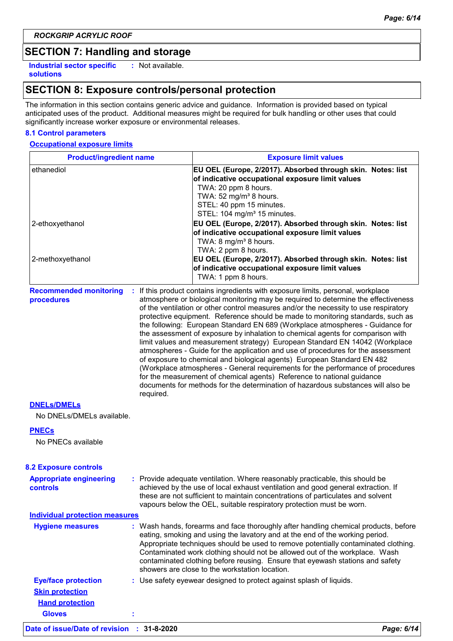*ROCKGRIP ACRYLIC ROOF*

## **SECTION 7: Handling and storage**

**Industrial sector specific : solutions**

: Not available.

## **SECTION 8: Exposure controls/personal protection**

The information in this section contains generic advice and guidance. Information is provided based on typical anticipated uses of the product. Additional measures might be required for bulk handling or other uses that could significantly increase worker exposure or environmental releases.

#### **8.1 Control parameters**

#### **Occupational exposure limits**

| <b>Product/ingredient name</b>                    |           | <b>Exposure limit values</b>                                                                                                                                                                                                                                                                                                                                                                                                                                                                                                                                                                                                                                                                                                                                                                                                                                                                                                                                                                                          |  |  |
|---------------------------------------------------|-----------|-----------------------------------------------------------------------------------------------------------------------------------------------------------------------------------------------------------------------------------------------------------------------------------------------------------------------------------------------------------------------------------------------------------------------------------------------------------------------------------------------------------------------------------------------------------------------------------------------------------------------------------------------------------------------------------------------------------------------------------------------------------------------------------------------------------------------------------------------------------------------------------------------------------------------------------------------------------------------------------------------------------------------|--|--|
| ethanediol                                        |           | EU OEL (Europe, 2/2017). Absorbed through skin. Notes: list<br>of indicative occupational exposure limit values<br>TWA: 20 ppm 8 hours.<br>TWA: $52 \text{ mg/m}^3$ 8 hours.<br>STEL: 40 ppm 15 minutes.<br>STEL: 104 mg/m <sup>3</sup> 15 minutes.                                                                                                                                                                                                                                                                                                                                                                                                                                                                                                                                                                                                                                                                                                                                                                   |  |  |
| 2-ethoxyethanol                                   |           | EU OEL (Europe, 2/2017). Absorbed through skin. Notes: list<br>of indicative occupational exposure limit values<br>TWA: 8 mg/m <sup>3</sup> 8 hours.<br>TWA: 2 ppm 8 hours.                                                                                                                                                                                                                                                                                                                                                                                                                                                                                                                                                                                                                                                                                                                                                                                                                                           |  |  |
| 2-methoxyethanol                                  |           | EU OEL (Europe, 2/2017). Absorbed through skin. Notes: list<br>of indicative occupational exposure limit values<br>TWA: 1 ppm 8 hours.                                                                                                                                                                                                                                                                                                                                                                                                                                                                                                                                                                                                                                                                                                                                                                                                                                                                                |  |  |
| <b>Recommended monitoring</b><br>procedures       | required. | : If this product contains ingredients with exposure limits, personal, workplace<br>atmosphere or biological monitoring may be required to determine the effectiveness<br>of the ventilation or other control measures and/or the necessity to use respiratory<br>protective equipment. Reference should be made to monitoring standards, such as<br>the following: European Standard EN 689 (Workplace atmospheres - Guidance for<br>the assessment of exposure by inhalation to chemical agents for comparison with<br>limit values and measurement strategy) European Standard EN 14042 (Workplace<br>atmospheres - Guide for the application and use of procedures for the assessment<br>of exposure to chemical and biological agents) European Standard EN 482<br>(Workplace atmospheres - General requirements for the performance of procedures<br>for the measurement of chemical agents) Reference to national guidance<br>documents for methods for the determination of hazardous substances will also be |  |  |
| <b>DNELS/DMELS</b><br>No DNELs/DMELs available.   |           |                                                                                                                                                                                                                                                                                                                                                                                                                                                                                                                                                                                                                                                                                                                                                                                                                                                                                                                                                                                                                       |  |  |
| <b>PNECs</b>                                      |           |                                                                                                                                                                                                                                                                                                                                                                                                                                                                                                                                                                                                                                                                                                                                                                                                                                                                                                                                                                                                                       |  |  |
| No PNECs available                                |           |                                                                                                                                                                                                                                                                                                                                                                                                                                                                                                                                                                                                                                                                                                                                                                                                                                                                                                                                                                                                                       |  |  |
| <b>8.2 Exposure controls</b>                      |           |                                                                                                                                                                                                                                                                                                                                                                                                                                                                                                                                                                                                                                                                                                                                                                                                                                                                                                                                                                                                                       |  |  |
| <b>Appropriate engineering</b><br><b>controls</b> |           | : Provide adequate ventilation. Where reasonably practicable, this should be<br>achieved by the use of local exhaust ventilation and good general extraction. If<br>these are not sufficient to maintain concentrations of particulates and solvent<br>vapours below the OEL, suitable respiratory protection must be worn.                                                                                                                                                                                                                                                                                                                                                                                                                                                                                                                                                                                                                                                                                           |  |  |
| <b>Individual protection measures</b>             |           |                                                                                                                                                                                                                                                                                                                                                                                                                                                                                                                                                                                                                                                                                                                                                                                                                                                                                                                                                                                                                       |  |  |
| <b>Hygiene measures</b>                           |           | : Wash hands, forearms and face thoroughly after handling chemical products, before<br>eating, smoking and using the lavatory and at the end of the working period.<br>Appropriate techniques should be used to remove potentially contaminated clothing.<br>Contaminated work clothing should not be allowed out of the workplace. Wash<br>contaminated clothing before reusing. Ensure that eyewash stations and safety<br>showers are close to the workstation location.                                                                                                                                                                                                                                                                                                                                                                                                                                                                                                                                           |  |  |
| <b>Eye/face protection</b>                        |           | : Use safety eyewear designed to protect against splash of liquids.                                                                                                                                                                                                                                                                                                                                                                                                                                                                                                                                                                                                                                                                                                                                                                                                                                                                                                                                                   |  |  |
| <b>Skin protection</b>                            |           |                                                                                                                                                                                                                                                                                                                                                                                                                                                                                                                                                                                                                                                                                                                                                                                                                                                                                                                                                                                                                       |  |  |

**Gloves :**

**Hand protection**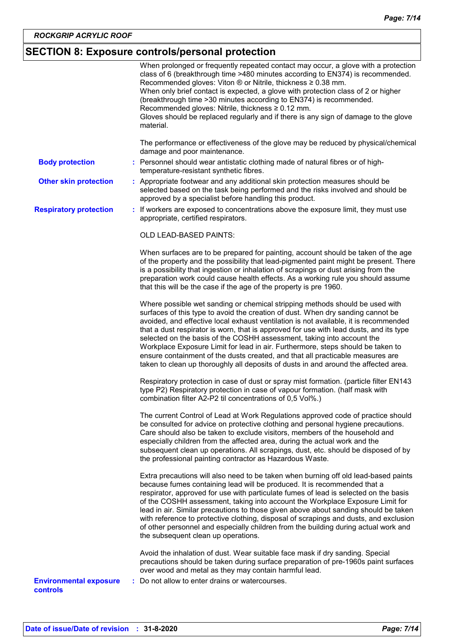## **SECTION 8: Exposure controls/personal protection**

|                                                  | When prolonged or frequently repeated contact may occur, a glove with a protection<br>class of 6 (breakthrough time >480 minutes according to EN374) is recommended.<br>Recommended gloves: Viton ® or Nitrile, thickness ≥ 0.38 mm.<br>When only brief contact is expected, a glove with protection class of 2 or higher<br>(breakthrough time > 30 minutes according to EN374) is recommended.<br>Recommended gloves: Nitrile, thickness ≥ 0.12 mm.<br>Gloves should be replaced regularly and if there is any sign of damage to the glove<br>material.                                                                                                                               |
|--------------------------------------------------|-----------------------------------------------------------------------------------------------------------------------------------------------------------------------------------------------------------------------------------------------------------------------------------------------------------------------------------------------------------------------------------------------------------------------------------------------------------------------------------------------------------------------------------------------------------------------------------------------------------------------------------------------------------------------------------------|
|                                                  | The performance or effectiveness of the glove may be reduced by physical/chemical<br>damage and poor maintenance.                                                                                                                                                                                                                                                                                                                                                                                                                                                                                                                                                                       |
| <b>Body protection</b>                           | : Personnel should wear antistatic clothing made of natural fibres or of high-<br>temperature-resistant synthetic fibres.                                                                                                                                                                                                                                                                                                                                                                                                                                                                                                                                                               |
| <b>Other skin protection</b>                     | : Appropriate footwear and any additional skin protection measures should be<br>selected based on the task being performed and the risks involved and should be<br>approved by a specialist before handling this product.                                                                                                                                                                                                                                                                                                                                                                                                                                                               |
| <b>Respiratory protection</b>                    | : If workers are exposed to concentrations above the exposure limit, they must use<br>appropriate, certified respirators.                                                                                                                                                                                                                                                                                                                                                                                                                                                                                                                                                               |
|                                                  | OLD LEAD-BASED PAINTS:                                                                                                                                                                                                                                                                                                                                                                                                                                                                                                                                                                                                                                                                  |
|                                                  | When surfaces are to be prepared for painting, account should be taken of the age<br>of the property and the possibility that lead-pigmented paint might be present. There<br>is a possibility that ingestion or inhalation of scrapings or dust arising from the<br>preparation work could cause health effects. As a working rule you should assume<br>that this will be the case if the age of the property is pre 1960.                                                                                                                                                                                                                                                             |
|                                                  | Where possible wet sanding or chemical stripping methods should be used with<br>surfaces of this type to avoid the creation of dust. When dry sanding cannot be<br>avoided, and effective local exhaust ventilation is not available, it is recommended<br>that a dust respirator is worn, that is approved for use with lead dusts, and its type<br>selected on the basis of the COSHH assessment, taking into account the<br>Workplace Exposure Limit for lead in air. Furthermore, steps should be taken to<br>ensure containment of the dusts created, and that all practicable measures are<br>taken to clean up thoroughly all deposits of dusts in and around the affected area. |
|                                                  | Respiratory protection in case of dust or spray mist formation. (particle filter EN143<br>type P2) Respiratory protection in case of vapour formation. (half mask with<br>combination filter A2-P2 til concentrations of 0,5 Vol%.)                                                                                                                                                                                                                                                                                                                                                                                                                                                     |
|                                                  | The current Control of Lead at Work Regulations approved code of practice should<br>be consulted for advice on protective clothing and personal hygiene precautions.<br>Care should also be taken to exclude visitors, members of the household and<br>especially children from the affected area, during the actual work and the<br>subsequent clean up operations. All scrapings, dust, etc. should be disposed of by<br>the professional painting contractor as Hazardous Waste.                                                                                                                                                                                                     |
|                                                  | Extra precautions will also need to be taken when burning off old lead-based paints<br>because fumes containing lead will be produced. It is recommended that a<br>respirator, approved for use with particulate fumes of lead is selected on the basis<br>of the COSHH assessment, taking into account the Workplace Exposure Limit for<br>lead in air. Similar precautions to those given above about sanding should be taken<br>with reference to protective clothing, disposal of scrapings and dusts, and exclusion<br>of other personnel and especially children from the building during actual work and<br>the subsequent clean up operations.                                  |
|                                                  | Avoid the inhalation of dust. Wear suitable face mask if dry sanding. Special<br>precautions should be taken during surface preparation of pre-1960s paint surfaces<br>over wood and metal as they may contain harmful lead.                                                                                                                                                                                                                                                                                                                                                                                                                                                            |
| <b>Environmental exposure</b><br><b>controls</b> | Do not allow to enter drains or watercourses.                                                                                                                                                                                                                                                                                                                                                                                                                                                                                                                                                                                                                                           |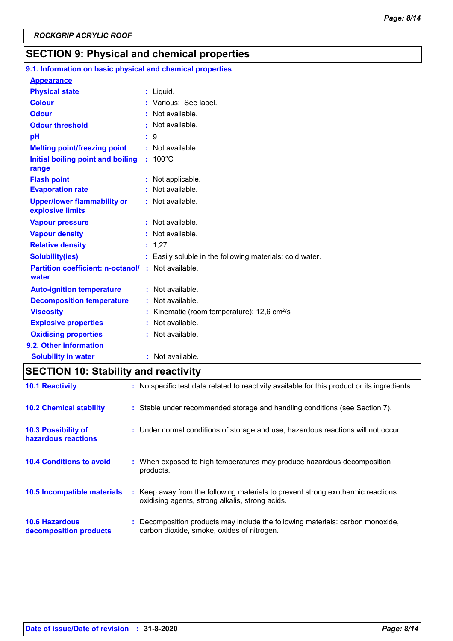## **SECTION 9: Physical and chemical properties**

| 9.1. Information on basic physical and chemical properties         |                                                           |
|--------------------------------------------------------------------|-----------------------------------------------------------|
| <b>Appearance</b>                                                  |                                                           |
| <b>Physical state</b>                                              | $:$ Liquid.                                               |
| <b>Colour</b>                                                      | : Various: See label.                                     |
| <b>Odour</b>                                                       | : Not available.                                          |
| <b>Odour threshold</b>                                             | : Not available.                                          |
| pH                                                                 | $\cdot$ 9                                                 |
| <b>Melting point/freezing point</b>                                | : Not available.                                          |
| Initial boiling point and boiling<br>range                         | $: 100^{\circ}$ C                                         |
| <b>Flash point</b>                                                 | Not applicable.                                           |
| <b>Evaporation rate</b>                                            | : Not available.                                          |
| <b>Upper/lower flammability or</b><br>explosive limits             | : Not available.                                          |
| <b>Vapour pressure</b>                                             | Not available.                                            |
| <b>Vapour density</b>                                              | : Not available.                                          |
| <b>Relative density</b>                                            | : 1,27                                                    |
| <b>Solubility(ies)</b>                                             | : Easily soluble in the following materials: cold water.  |
| <b>Partition coefficient: n-octanol/ : Not available.</b><br>water |                                                           |
| <b>Auto-ignition temperature</b>                                   | : Not available.                                          |
| <b>Decomposition temperature</b>                                   | : Not available.                                          |
| <b>Viscosity</b>                                                   | : Kinematic (room temperature): $12,6$ cm <sup>2</sup> /s |
| <b>Explosive properties</b>                                        | : Not available.                                          |
| <b>Oxidising properties</b>                                        | : Not available.                                          |
| 9.2. Other information                                             |                                                           |
| <b>Solubility in water</b>                                         | : Not available.                                          |

## **SECTION 10: Stability and reactivity**

| <b>10.1 Reactivity</b>                            | : No specific test data related to reactivity available for this product or its ingredients.                                        |
|---------------------------------------------------|-------------------------------------------------------------------------------------------------------------------------------------|
| <b>10.2 Chemical stability</b>                    | : Stable under recommended storage and handling conditions (see Section 7).                                                         |
| <b>10.3 Possibility of</b><br>hazardous reactions | : Under normal conditions of storage and use, hazardous reactions will not occur.                                                   |
| <b>10.4 Conditions to avoid</b>                   | : When exposed to high temperatures may produce hazardous decomposition<br>products.                                                |
| 10.5 Incompatible materials                       | : Keep away from the following materials to prevent strong exothermic reactions:<br>oxidising agents, strong alkalis, strong acids. |
| <b>10.6 Hazardous</b><br>decomposition products   | : Decomposition products may include the following materials: carbon monoxide,<br>carbon dioxide, smoke, oxides of nitrogen.        |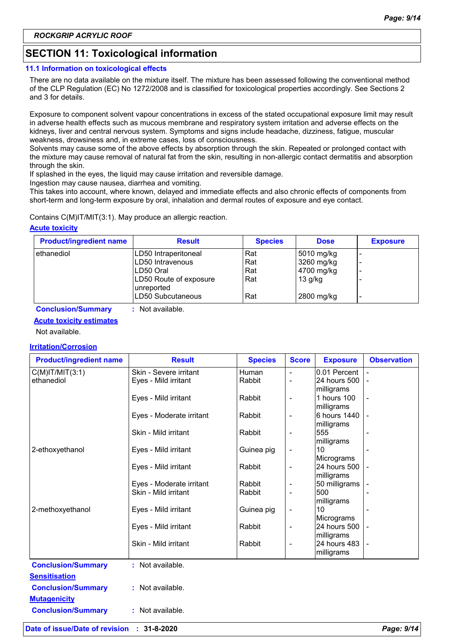## **SECTION 11: Toxicological information**

#### **11.1 Information on toxicological effects**

There are no data available on the mixture itself. The mixture has been assessed following the conventional method of the CLP Regulation (EC) No 1272/2008 and is classified for toxicological properties accordingly. See Sections 2 and 3 for details.

Exposure to component solvent vapour concentrations in excess of the stated occupational exposure limit may result in adverse health effects such as mucous membrane and respiratory system irritation and adverse effects on the kidneys, liver and central nervous system. Symptoms and signs include headache, dizziness, fatigue, muscular weakness, drowsiness and, in extreme cases, loss of consciousness.

Solvents may cause some of the above effects by absorption through the skin. Repeated or prolonged contact with the mixture may cause removal of natural fat from the skin, resulting in non-allergic contact dermatitis and absorption through the skin.

If splashed in the eyes, the liquid may cause irritation and reversible damage.

Ingestion may cause nausea, diarrhea and vomiting.

This takes into account, where known, delayed and immediate effects and also chronic effects of components from short-term and long-term exposure by oral, inhalation and dermal routes of exposure and eye contact.

Contains C(M)IT/MIT(3:1). May produce an allergic reaction.

#### **Acute toxicity**

| <b>Product/ingredient name</b> | <b>Result</b>                        | <b>Species</b> | <b>Dose</b> | <b>Exposure</b> |
|--------------------------------|--------------------------------------|----------------|-------------|-----------------|
| ethanediol                     | LD50 Intraperitoneal                 | Rat            | 5010 mg/kg  |                 |
|                                | LD50 Intravenous                     | Rat            | 3260 mg/kg  |                 |
|                                | LD50 Oral                            | Rat            | 4700 mg/kg  |                 |
|                                | LD50 Route of exposure<br>unreported | Rat            | $13$ g/kg   |                 |
|                                | LD50 Subcutaneous                    | Rat            | 2800 mg/kg  | -               |

**Conclusion/Summary :** Not available.

#### **Acute toxicity estimates**

Not available.

#### **Irritation/Corrosion**

| <b>Product/ingredient name</b> | <b>Result</b>            | <b>Species</b> | <b>Score</b>             | <b>Exposure</b>            | <b>Observation</b> |
|--------------------------------|--------------------------|----------------|--------------------------|----------------------------|--------------------|
| $C(M)$ IT/MIT $(3:1)$          | Skin - Severe irritant   | <b>Human</b>   | $\overline{a}$           | 0.01 Percent               |                    |
| ethanediol                     | Eyes - Mild irritant     | Rabbit         | $\overline{a}$           | 24 hours 500<br>milligrams |                    |
|                                | Eyes - Mild irritant     | Rabbit         | $\overline{\phantom{a}}$ | 1 hours 100<br>milligrams  |                    |
|                                | Eyes - Moderate irritant | Rabbit         | $\overline{\phantom{a}}$ | 6 hours 1440<br>milligrams |                    |
|                                | Skin - Mild irritant     | Rabbit         | $\overline{\phantom{a}}$ | 555<br>milligrams          |                    |
| 2-ethoxyethanol                | Eyes - Mild irritant     | Guinea pig     | $\overline{\phantom{a}}$ | 10<br>Micrograms           |                    |
|                                | Eyes - Mild irritant     | Rabbit         | $\overline{\phantom{a}}$ | 24 hours 500<br>milligrams |                    |
|                                | Eyes - Moderate irritant | Rabbit         | $\overline{\phantom{a}}$ | 50 milligrams              |                    |
|                                | Skin - Mild irritant     | Rabbit         |                          | 500<br>milligrams          |                    |
| 2-methoxyethanol               | Eyes - Mild irritant     | Guinea pig     | $\overline{\phantom{a}}$ | 10<br>Micrograms           |                    |
|                                | Eyes - Mild irritant     | Rabbit         | $\overline{\phantom{a}}$ | 24 hours 500<br>milligrams |                    |
|                                | Skin - Mild irritant     | Rabbit         |                          | 24 hours 483<br>milligrams |                    |
| <b>Conclusion/Summary</b>      | : Not available.         |                |                          |                            |                    |
| <b>Sensitisation</b>           |                          |                |                          |                            |                    |
| <b>Conclusion/Summary</b>      | : Not available.         |                |                          |                            |                    |
| <b>Mutagenicity</b>            |                          |                |                          |                            |                    |
| <b>Conclusion/Summary</b>      | : Not available.         |                |                          |                            |                    |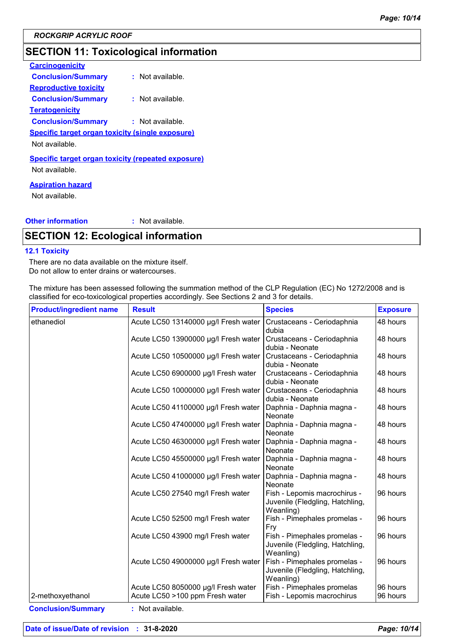## **SECTION 11: Toxicological information**

| <b>Carcinogenicity</b>                                                      |                  |
|-----------------------------------------------------------------------------|------------------|
| <b>Conclusion/Summary</b>                                                   | : Not available. |
| <b>Reproductive toxicity</b>                                                |                  |
| <b>Conclusion/Summary</b>                                                   | : Not available. |
| <u>Teratogenicity</u>                                                       |                  |
| <b>Conclusion/Summary</b>                                                   | : Not available. |
| <b>Specific target organ toxicity (single exposure)</b>                     |                  |
| Not available.                                                              |                  |
| <b>Specific target organ toxicity (repeated exposure)</b><br>Not available. |                  |
|                                                                             |                  |

#### **Aspiration hazard**

Not available.

#### **Other information :** : Not available.

### **SECTION 12: Ecological information**

#### **12.1 Toxicity**

There are no data available on the mixture itself. Do not allow to enter drains or watercourses.

The mixture has been assessed following the summation method of the CLP Regulation (EC) No 1272/2008 and is classified for eco-toxicological properties accordingly. See Sections 2 and 3 for details.

| <b>Product/ingredient name</b> | <b>Result</b>                                                          | <b>Species</b>                                                               | <b>Exposure</b>      |
|--------------------------------|------------------------------------------------------------------------|------------------------------------------------------------------------------|----------------------|
| ethanediol                     | Acute LC50 13140000 µg/l Fresh water                                   | Crustaceans - Ceriodaphnia<br>dubia                                          | 48 hours             |
|                                | Acute LC50 13900000 µg/l Fresh water                                   | Crustaceans - Ceriodaphnia<br>dubia - Neonate                                | 48 hours             |
|                                | Acute LC50 10500000 µg/l Fresh water                                   | Crustaceans - Ceriodaphnia<br>dubia - Neonate                                | 48 hours             |
|                                | Acute LC50 6900000 µg/l Fresh water                                    | Crustaceans - Ceriodaphnia<br>dubia - Neonate                                | 48 hours             |
|                                | Acute LC50 10000000 µg/l Fresh water                                   | Crustaceans - Ceriodaphnia<br>dubia - Neonate                                | 48 hours             |
|                                | Acute LC50 41100000 µg/l Fresh water                                   | Daphnia - Daphnia magna -<br>Neonate                                         | 48 hours             |
|                                | Acute LC50 47400000 µg/l Fresh water                                   | Daphnia - Daphnia magna -<br>Neonate                                         | 48 hours             |
|                                | Acute LC50 46300000 µg/l Fresh water                                   | Daphnia - Daphnia magna -<br>Neonate                                         | 48 hours             |
|                                | Acute LC50 45500000 µg/l Fresh water                                   | Daphnia - Daphnia magna -<br>Neonate                                         | 48 hours             |
|                                | Acute LC50 41000000 µg/l Fresh water                                   | Daphnia - Daphnia magna -<br>Neonate                                         | 48 hours             |
|                                | Acute LC50 27540 mg/l Fresh water                                      | Fish - Lepomis macrochirus -<br>Juvenile (Fledgling, Hatchling,<br>Weanling) | 96 hours             |
|                                | Acute LC50 52500 mg/l Fresh water                                      | Fish - Pimephales promelas -<br>Fry                                          | 96 hours             |
|                                | Acute LC50 43900 mg/l Fresh water                                      | Fish - Pimephales promelas -<br>Juvenile (Fledgling, Hatchling,<br>Weanling) | 96 hours             |
|                                | Acute LC50 49000000 µg/l Fresh water                                   | Fish - Pimephales promelas -<br>Juvenile (Fledgling, Hatchling,<br>Weanling) | 96 hours             |
| 2-methoxyethanol               | Acute LC50 8050000 µg/l Fresh water<br>Acute LC50 >100 ppm Fresh water | Fish - Pimephales promelas<br>Fish - Lepomis macrochirus                     | 96 hours<br>96 hours |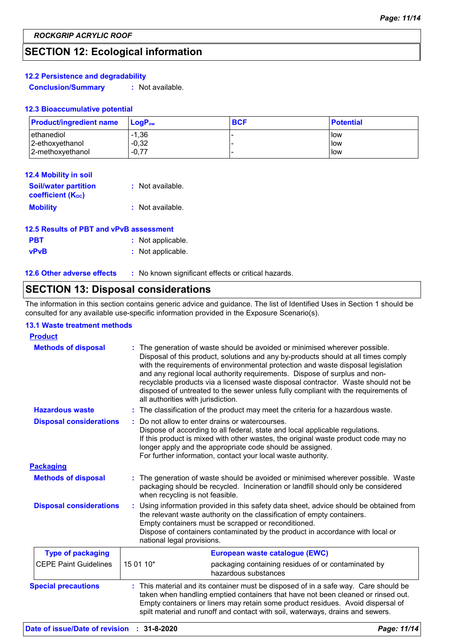## **SECTION 12: Ecological information**

#### **12.2 Persistence and degradability**

**Conclusion/Summary :** Not available.

#### **12.3 Bioaccumulative potential**

| <b>Product/ingredient name</b> | $LoaPow$ | <b>BCF</b> | <b>Potential</b> |
|--------------------------------|----------|------------|------------------|
| ethanediol                     | $-1.36$  |            | <b>low</b>       |
| 2-ethoxyethanol                | $-0,32$  |            | llow             |
| 2-methoxyethanol               | $-0.77$  |            | low              |

| <b>12.4 Mobility in soil</b>                            |                  |
|---------------------------------------------------------|------------------|
| <b>Soil/water partition</b><br><b>coefficient (Koc)</b> | : Not available. |
| <b>Mobility</b>                                         | : Not available. |

| 12.5 Results of PBT and vPvB assessment |                   |  |  |
|-----------------------------------------|-------------------|--|--|
| <b>PBT</b>                              | : Not applicable. |  |  |
| <b>vPvB</b>                             | : Not applicable. |  |  |

| <b>12.6 Other adverse effects</b> | No known significant effects or critical hazards. |
|-----------------------------------|---------------------------------------------------|
|-----------------------------------|---------------------------------------------------|

## **SECTION 13: Disposal considerations**

The information in this section contains generic advice and guidance. The list of Identified Uses in Section 1 should be consulted for any available use-specific information provided in the Exposure Scenario(s).

#### **13.1 Waste treatment methods**

| <b>Product</b>                 |                                                                                                                                                                                                                                                                                                                                                                                                                                                                                                                                                    |
|--------------------------------|----------------------------------------------------------------------------------------------------------------------------------------------------------------------------------------------------------------------------------------------------------------------------------------------------------------------------------------------------------------------------------------------------------------------------------------------------------------------------------------------------------------------------------------------------|
| <b>Methods of disposal</b>     | The generation of waste should be avoided or minimised wherever possible.<br>Disposal of this product, solutions and any by-products should at all times comply<br>with the requirements of environmental protection and waste disposal legislation<br>and any regional local authority requirements. Dispose of surplus and non-<br>recyclable products via a licensed waste disposal contractor. Waste should not be<br>disposed of untreated to the sewer unless fully compliant with the requirements of<br>all authorities with jurisdiction. |
| <b>Hazardous waste</b>         | The classification of the product may meet the criteria for a hazardous waste.<br>÷.                                                                                                                                                                                                                                                                                                                                                                                                                                                               |
| <b>Disposal considerations</b> | Do not allow to enter drains or watercourses.<br>Dispose of according to all federal, state and local applicable regulations.<br>If this product is mixed with other wastes, the original waste product code may no<br>longer apply and the appropriate code should be assigned.<br>For further information, contact your local waste authority.                                                                                                                                                                                                   |
| <b>Packaging</b>               |                                                                                                                                                                                                                                                                                                                                                                                                                                                                                                                                                    |
| <b>Methods of disposal</b>     | The generation of waste should be avoided or minimised wherever possible. Waste<br>packaging should be recycled. Incineration or landfill should only be considered<br>when recycling is not feasible.                                                                                                                                                                                                                                                                                                                                             |
| <b>Disposal considerations</b> | Using information provided in this safety data sheet, advice should be obtained from<br>the relevant waste authority on the classification of empty containers.<br>Empty containers must be scrapped or reconditioned.<br>Dispose of containers contaminated by the product in accordance with local or<br>national legal provisions.                                                                                                                                                                                                              |
| <b>Type of packaging</b>       | European waste catalogue (EWC)                                                                                                                                                                                                                                                                                                                                                                                                                                                                                                                     |
| <b>CEPE Paint Guidelines</b>   | 15 01 10*<br>packaging containing residues of or contaminated by<br>hazardous substances                                                                                                                                                                                                                                                                                                                                                                                                                                                           |
| <b>Special precautions</b>     | This material and its container must be disposed of in a safe way. Care should be<br>taken when handling emptied containers that have not been cleaned or rinsed out.<br>Empty containers or liners may retain some product residues. Avoid dispersal of<br>spilt material and runoff and contact with soil, waterways, drains and sewers.                                                                                                                                                                                                         |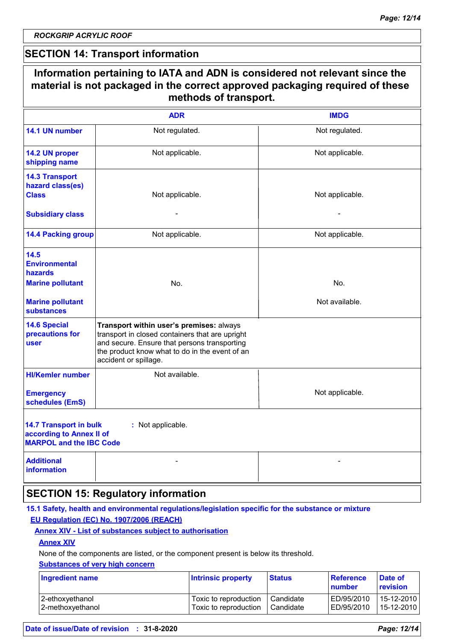*ROCKGRIP ACRYLIC ROOF*

### **SECTION 14: Transport information**

|                                                                                                                           | Information pertaining to IATA and ADN is considered not relevant since the<br>material is not packaged in the correct approved packaging required of these<br>methods of transport.                                   |                       |
|---------------------------------------------------------------------------------------------------------------------------|------------------------------------------------------------------------------------------------------------------------------------------------------------------------------------------------------------------------|-----------------------|
|                                                                                                                           | <b>ADR</b>                                                                                                                                                                                                             | <b>IMDG</b>           |
| 14.1 UN number                                                                                                            | Not regulated.                                                                                                                                                                                                         | Not regulated.        |
| 14.2 UN proper<br>shipping name                                                                                           | Not applicable.                                                                                                                                                                                                        | Not applicable.       |
| <b>14.3 Transport</b><br>hazard class(es)<br><b>Class</b><br><b>Subsidiary class</b>                                      | Not applicable.                                                                                                                                                                                                        | Not applicable.       |
| <b>14.4 Packing group</b>                                                                                                 | Not applicable.                                                                                                                                                                                                        | Not applicable.       |
| 14.5<br><b>Environmental</b><br><b>hazards</b><br><b>Marine pollutant</b><br><b>Marine pollutant</b><br><b>substances</b> | No.                                                                                                                                                                                                                    | No.<br>Not available. |
| <b>14.6 Special</b><br>precautions for<br>user                                                                            | Transport within user's premises: always<br>transport in closed containers that are upright<br>and secure. Ensure that persons transporting<br>the product know what to do in the event of an<br>accident or spillage. |                       |
| <b>HI/Kemler number</b><br><b>Emergency</b><br>schedules (EmS)                                                            | Not available.                                                                                                                                                                                                         | Not applicable.       |
| <b>14.7 Transport in bulk</b><br>according to Annex II of<br><b>MARPOL and the IBC Code</b>                               | : Not applicable.                                                                                                                                                                                                      |                       |
| <b>Additional</b><br><b>information</b>                                                                                   |                                                                                                                                                                                                                        |                       |
|                                                                                                                           | <b>SECTION 15: Regulatory information</b>                                                                                                                                                                              |                       |

#### **15.1 Safety, health and environmental regulations/legislation specific for the substance or mixture EU Regulation (EC) No. 1907/2006 (REACH)**

#### **Annex XIV - List of substances subject to authorisation**

#### **Annex XIV**

None of the components are listed, or the component present is below its threshold.

#### **Substances of very high concern**

| <b>Ingredient name</b> | <b>Intrinsic property</b> | <b>Status</b> | <b>Reference</b><br>number | Date of<br>revision |
|------------------------|---------------------------|---------------|----------------------------|---------------------|
| 2-ethoxyethanol        | Toxic to reproduction     | Candidate     | ED/95/2010                 | 15-12-2010          |
| 2-methoxyethanol       | Toxic to reproduction     | Candidate     | ED/95/2010                 | 15-12-2010          |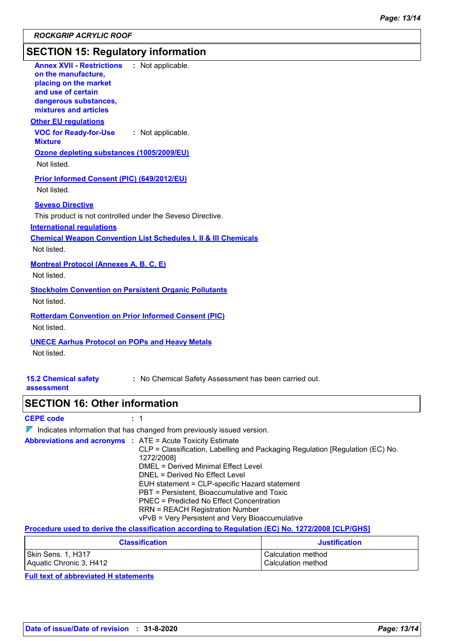*ROCKGRIP ACRYLIC ROOF*

## **SECTION 15: Regulatory information**

| <b>Annex XVII - Restrictions</b><br>: Not applicable.<br>on the manufacture,<br>placing on the market<br>and use of certain<br>dangerous substances,<br>mixtures and articles |
|-------------------------------------------------------------------------------------------------------------------------------------------------------------------------------|
| <b>Other EU regulations</b>                                                                                                                                                   |
| <b>VOC for Ready-for-Use</b><br>: Not applicable.<br><b>Mixture</b>                                                                                                           |
| Ozone depleting substances (1005/2009/EU)                                                                                                                                     |
| Not listed.                                                                                                                                                                   |
| Prior Informed Consent (PIC) (649/2012/EU)                                                                                                                                    |
| Not listed.                                                                                                                                                                   |
| <b>Seveso Directive</b>                                                                                                                                                       |
| This product is not controlled under the Seveso Directive.                                                                                                                    |
| <b>International regulations</b><br><b>Chemical Weapon Convention List Schedules I, II &amp; III Chemicals</b>                                                                |
| Not listed.                                                                                                                                                                   |
| <b>Montreal Protocol (Annexes A, B, C, E)</b>                                                                                                                                 |
| Not listed.                                                                                                                                                                   |
| <b>Stockholm Convention on Persistent Organic Pollutants</b>                                                                                                                  |
| Not listed.                                                                                                                                                                   |
| <b>Rotterdam Convention on Prior Informed Consent (PIC)</b>                                                                                                                   |
| Not listed.                                                                                                                                                                   |
| <b>UNECE Aarhus Protocol on POPs and Heavy Metals</b>                                                                                                                         |
| Not listed.                                                                                                                                                                   |
|                                                                                                                                                                               |
| <b>15.2 Chemical safety</b><br>: No Chemical Safety Assessment has been carried out.                                                                                          |
| assessment                                                                                                                                                                    |
| <b>SECTION 16: Other information</b>                                                                                                                                          |
| <b>CEPE code</b><br>: 1                                                                                                                                                       |
| $\nabla$ Indicates information that has changed from previously issued version.                                                                                               |
| <b>Abbreviations and acronyms : ATE = Acute Toxicity Estimate</b><br>CLP = Classification, Labelling and Packaging Regulation [Regulation (EC) No.                            |
| 1272/2008]<br>DMEL = Derived Minimal Effect Level                                                                                                                             |
| DNEL = Derived No Effect Level                                                                                                                                                |
| EUH statement = CLP-specific Hazard statement                                                                                                                                 |
| PBT = Persistent, Bioaccumulative and Toxic<br><b>PNEC = Predicted No Effect Concentration</b>                                                                                |
| <b>RRN = REACH Registration Number</b>                                                                                                                                        |
| vPvB = Very Persistent and Very Bioaccumulative                                                                                                                               |

**Procedure used to derive the classification according to Regulation (EC) No. 1272/2008 [CLP/GHS]**

| <b>Classification</b>   | <b>Justification</b> |
|-------------------------|----------------------|
| Skin Sens. 1, H317      | Calculation method   |
| Aquatic Chronic 3, H412 | Calculation method   |

**Full text of abbreviated H statements**